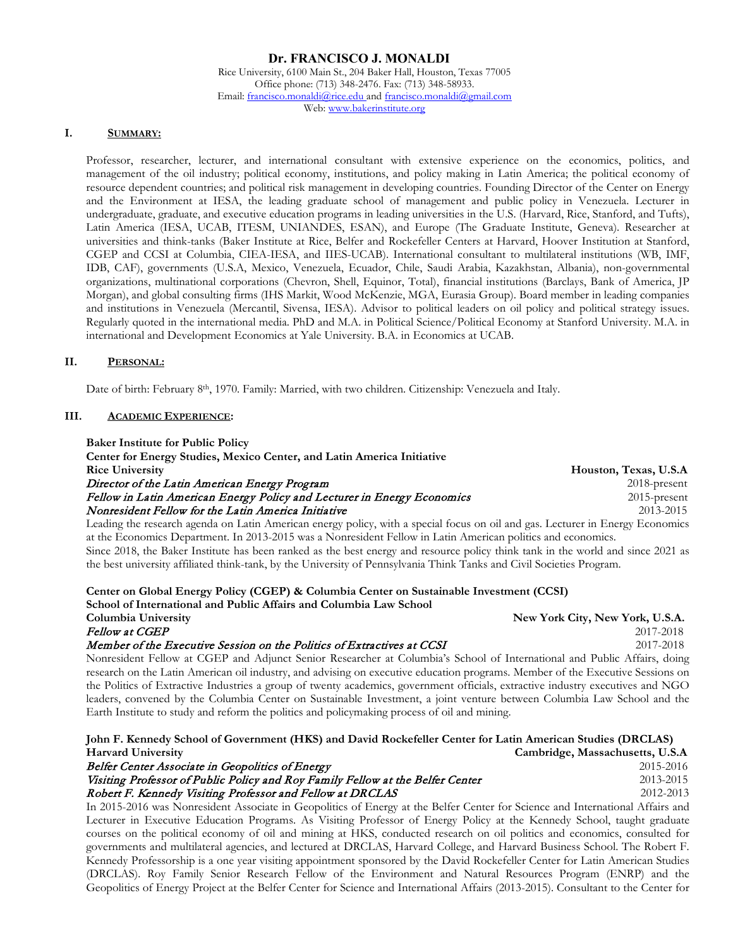### **Dr. FRANCISCO J. MONALDI**

Rice University, 6100 Main St., 204 Baker Hall, Houston, Texas 77005 Office phone: (713) 348-2476. Fax: (713) 348-58933. Email[: francisco.monaldi@rice.edu](mailto:francisco.monaldi@rice.edu) an[d francisco.monaldi@gmail.com](mailto:francisco.monaldi@gmail.com) Web[: www.bakerinstitute.org](http://www.bakerinstitute.org/)

### **I. SUMMARY:**

Professor, researcher, lecturer, and international consultant with extensive experience on the economics, politics, and management of the oil industry; political economy, institutions, and policy making in Latin America; the political economy of resource dependent countries; and political risk management in developing countries. Founding Director of the Center on Energy and the Environment at IESA, the leading graduate school of management and public policy in Venezuela. Lecturer in undergraduate, graduate, and executive education programs in leading universities in the U.S. (Harvard, Rice, Stanford, and Tufts), Latin America (IESA, UCAB, ITESM, UNIANDES, ESAN), and Europe (The Graduate Institute, Geneva). Researcher at universities and think-tanks (Baker Institute at Rice, Belfer and Rockefeller Centers at Harvard, Hoover Institution at Stanford, CGEP and CCSI at Columbia, CIEA-IESA, and IIES-UCAB). International consultant to multilateral institutions (WB, IMF, IDB, CAF), governments (U.S.A, Mexico, Venezuela, Ecuador, Chile, Saudi Arabia, Kazakhstan, Albania), non-governmental organizations, multinational corporations (Chevron, Shell, Equinor, Total), financial institutions (Barclays, Bank of America, JP Morgan), and global consulting firms (IHS Markit, Wood McKenzie, MGA, Eurasia Group). Board member in leading companies and institutions in Venezuela (Mercantil, Sivensa, IESA). Advisor to political leaders on oil policy and political strategy issues. Regularly quoted in the international media. PhD and M.A. in Political Science/Political Economy at Stanford University. M.A. in international and Development Economics at Yale University. B.A. in Economics at UCAB.

### **II. PERSONAL:**

Date of birth: February 8<sup>th</sup>, 1970. Family: Married, with two children. Citizenship: Venezuela and Italy.

### **III. ACADEMIC EXPERIENCE:**

| <b>Baker Institute for Public Policy</b>                                                                                       |                       |
|--------------------------------------------------------------------------------------------------------------------------------|-----------------------|
| Center for Energy Studies, Mexico Center, and Latin America Initiative                                                         |                       |
| <b>Rice University</b>                                                                                                         | Houston, Texas, U.S.A |
| Director of the Latin American Energy Program                                                                                  | $2018$ -present       |
| Fellow in Latin American Energy Policy and Lecturer in Energy Economics                                                        | $2015$ -present       |
| Nonresident Fellow for the Latin America Initiative                                                                            | 2013-2015             |
| Leading the research eggade on Latin American energy policy with a special focus on oil and gas. Lecturer in Fregger Economics |                       |

Leading the research agenda on Latin American energy policy, with a special focus on oil and gas. Lecturer in Energy Economics at the Economics Department. In 2013-2015 was a Nonresident Fellow in Latin American politics and economics. Since 2018, the Baker Institute has been ranked as the best energy and resource policy think tank in the world and since 2021 as the best university affiliated think-tank, by the University of Pennsylvania Think Tanks and Civil Societies Program.

### **Center on Global Energy Policy (CGEP) & Columbia Center on Sustainable Investment (CCSI)**

| School of International and Public Affairs and Columbia Law School                                                       |                                 |
|--------------------------------------------------------------------------------------------------------------------------|---------------------------------|
| Columbia University                                                                                                      | New York City, New York, U.S.A. |
| <i>Fellow at CGEP</i>                                                                                                    | 2017-2018                       |
| Member of the Executive Session on the Politics of Extractives at CCSI                                                   | 2017-2018                       |
| Nonresident Fellow at CGEP and Adjunct Senior Researcher at Columbia's School of International and Public Affairs, doing |                                 |
| taran masukat di kacamatan di masukat dan kacamatan di masukat dan masuka di masuka dan masuka dan masuka dan            |                                 |

research on the Latin American oil industry, and advising on executive education programs. Member of the Executive Sessions on the Politics of Extractive Industries a group of twenty academics, government officials, extractive industry executives and NGO leaders, convened by the Columbia Center on Sustainable Investment, a joint venture between Columbia Law School and the Earth Institute to study and reform the politics and policymaking process of oil and mining.

# **John F. Kennedy School of Government (HKS) and David Rockefeller Center for Latin American Studies (DRCLAS) Harvard University Cambridge, Massachusetts, U.S.A**

| Belfer Center Associate in Geopolitics of Energy                               | 2015-2016 |
|--------------------------------------------------------------------------------|-----------|
| Visiting Professor of Public Policy and Roy Family Fellow at the Belfer Center | 2013-2015 |
| Robert F. Kennedy Visiting Professor and Fellow at DRCLAS                      | 2012-2013 |
|                                                                                |           |

In 2015-2016 was Nonresident Associate in Geopolitics of Energy at the Belfer Center for Science and International Affairs and Lecturer in Executive Education Programs. As Visiting Professor of Energy Policy at the Kennedy School, taught graduate courses on the political economy of oil and mining at HKS, conducted research on oil politics and economics, consulted for governments and multilateral agencies, and lectured at DRCLAS, Harvard College, and Harvard Business School. The Robert F. Kennedy Professorship is a one year visiting appointment sponsored by the David Rockefeller Center for Latin American Studies (DRCLAS). Roy Family Senior Research Fellow of the Environment and Natural Resources Program (ENRP) and the Geopolitics of Energy Project at the Belfer Center for Science and International Affairs (2013-2015). Consultant to the Center for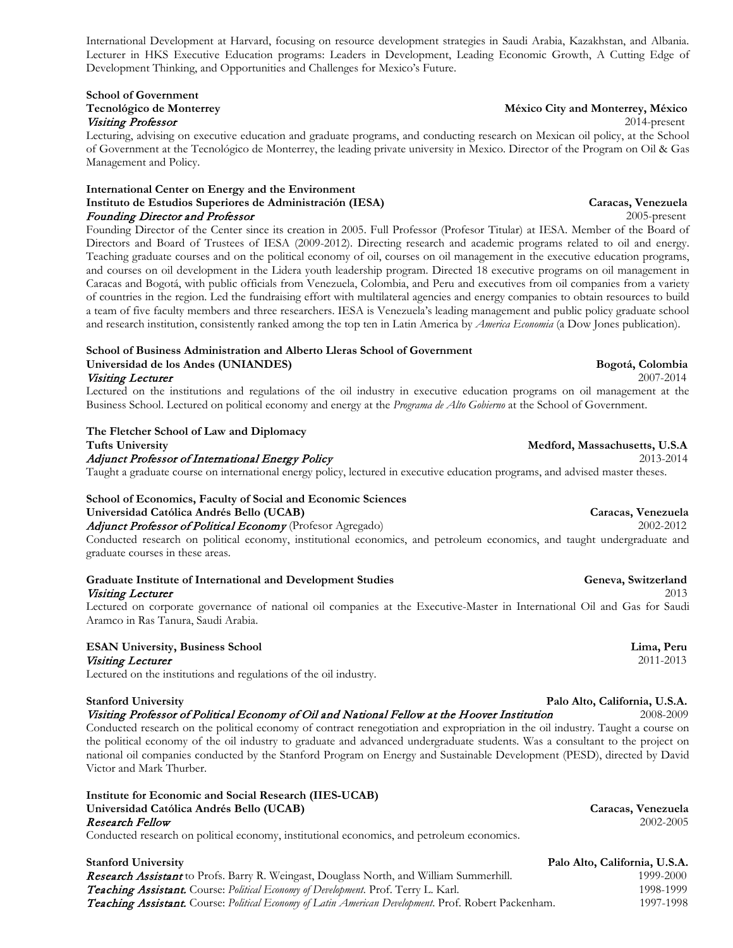International Development at Harvard, focusing on resource development strategies in Saudi Arabia, Kazakhstan, and Albania. Lecturer in HKS Executive Education programs: Leaders in Development, Leading Economic Growth, A Cutting Edge of Development Thinking, and Opportunities and Challenges for Mexico's Future.

# **School of Government** Visiting Professor 2014-present

Lecturing, advising on executive education and graduate programs, and conducting research on Mexican oil policy, at the School of Government at the Tecnológico de Monterrey, the leading private university in Mexico. Director of the Program on Oil & Gas Management and Policy.

### **International Center on Energy and the Environment Instituto de Estudios Superiores de Administración (IESA) Caracas, Venezuela** Founding Director and Professor 2005-present

Founding Director of the Center since its creation in 2005. Full Professor (Profesor Titular) at IESA. Member of the Board of Directors and Board of Trustees of IESA (2009-2012). Directing research and academic programs related to oil and energy. Teaching graduate courses and on the political economy of oil, courses on oil management in the executive education programs, and courses on oil development in the Lidera youth leadership program. Directed 18 executive programs on oil management in Caracas and Bogotá, with public officials from Venezuela, Colombia, and Peru and executives from oil companies from a variety of countries in the region. Led the fundraising effort with multilateral agencies and energy companies to obtain resources to build a team of five faculty members and three researchers. IESA is Venezuela's leading management and public policy graduate school and research institution, consistently ranked among the top ten in Latin America by *America Economia* (a Dow Jones publication).

### **School of Business Administration and Alberto Lleras School of Government Universidad de los Andes (UNIANDES) Bogotá, Colombia**

### Visiting Lecturer 2007-2014

Lectured on the institutions and regulations of the oil industry in executive education programs on oil management at the Business School. Lectured on political economy and energy at the *Programa de Alto Gobierno* at the School of Government.

### **The Fletcher School of Law and Diplomacy**

Adjunct Professor of International Energy Policy 2013-2014 Taught a graduate course on international energy policy, lectured in executive education programs, and advised master theses.

# **School of Economics, Faculty of Social and Economic Sciences Universidad Católica Andrés Bello (UCAB) Caracas, Venezuela**

Adjunct Professor of Political Economy (Profesor Agregado) 2002-2012 Conducted research on political economy, institutional economics, and petroleum economics, and taught undergraduate and

graduate courses in these areas.

### Graduate Institute of International and Development Studies **Genevaluate Contact Convertible Convertional** and Development Studies **Genevaluate Convertible Convertible Convertible Convertible Convertible Convertible Conver** Visiting Lecturer 2013

Lectured on corporate governance of national oil companies at the Executive-Master in International Oil and Gas for Saudi Aramco in Ras Tanura, Saudi Arabia.

### **ESAN University, Business School Lima, Peru** Visiting Lecturer 2011-2013

Lectured on the institutions and regulations of the oil industry.

### **Stanford University Palo Alto, California, U.S.A.**

Visiting Professor of Political Economy of Oil and National Fellow at the Hoover Institution 2008-2009

Conducted research on the political economy of contract renegotiation and expropriation in the oil industry. Taught a course on the political economy of the oil industry to graduate and advanced undergraduate students. Was a consultant to the project on national oil companies conducted by the Stanford Program on Energy and Sustainable Development (PESD), directed by David Victor and Mark Thurber.

| Institute for Economic and Social Research (IIES-UCAB)                                     |                    |
|--------------------------------------------------------------------------------------------|--------------------|
| Universidad Católica Andrés Bello (UCAB)                                                   | Caracas, Venezuela |
| Research Fellow                                                                            | 2002-2005          |
| Conducted research on political economy, institutional economics, and petroleum economics. |                    |
|                                                                                            |                    |

**Stanford University Palo Alto, California, U.S.A.** Research Assistant to Profs. Barry R. Weingast, Douglass North, and William Summerhill. 1999-2000 **Teaching Assistant.** Course: *Political Economy of Development*. Prof. Terry L. Karl. 1998-1999 1998-1999 Teaching Assistant. Course: *Political Economy of Latin American Development*. Prof. Robert Packenham. 1997-1998

### **Tecnológico de Monterrey México City and Monterrey, México**

### **Tufts University Medford, Massachusetts, U.S.A**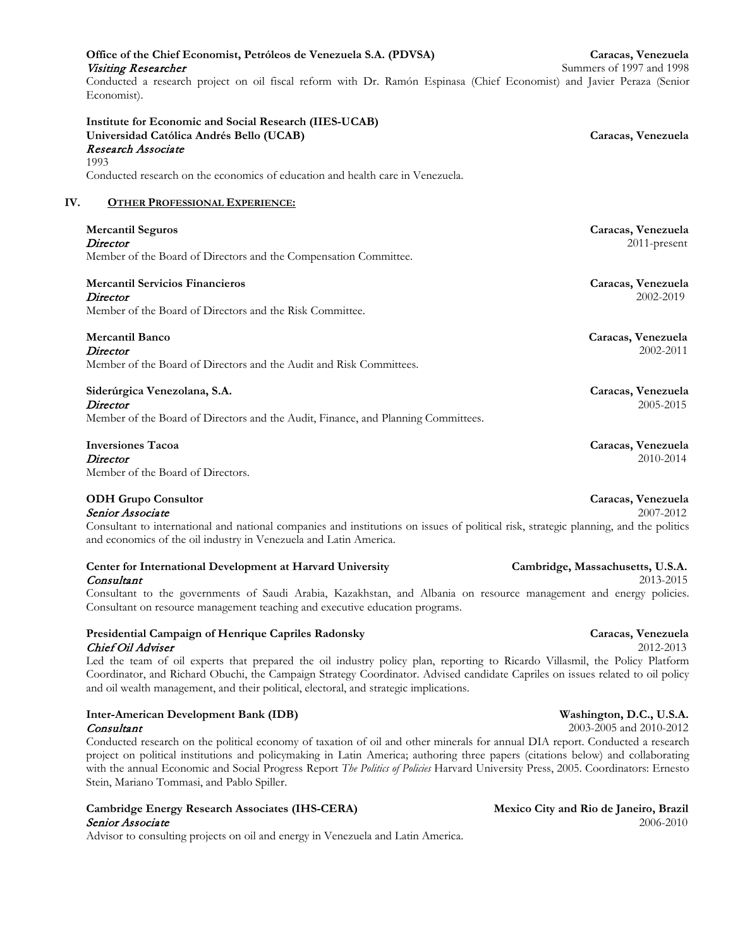| Office of the Chief Economist, Petróleos de Venezuela S.A. (PDVSA)                                                                   | Caracas, Venezuela       |
|--------------------------------------------------------------------------------------------------------------------------------------|--------------------------|
| Visiting Researcher                                                                                                                  | Summers of 1997 and 1998 |
| Conducted a research project on oil fiscal reform with Dr. Ramón Espinasa (Chief Economist) and Javier Peraza (Senior<br>Economist). |                          |
| Institute for Economic and Social Research (IIES-UCAB)                                                                               |                          |
| Universidad Católica Andrés Bello (UCAB)                                                                                             | Caracas, Venezuela       |
| Research Associate                                                                                                                   |                          |
| 1993                                                                                                                                 |                          |
| Conducted research on the economics of education and health care in Venezuela.                                                       |                          |
| <b>OTHER PROFESSIONAL EXPERIENCE:</b><br>IV.                                                                                         |                          |
| <b>Mercantil Seguros</b>                                                                                                             | Caracas, Venezuela       |
| Director                                                                                                                             | $2011$ -present          |
| Member of the Board of Directors and the Compensation Committee.                                                                     |                          |
| <b>Mercantil Servicios Financieros</b>                                                                                               | Caracas, Venezuela       |
| Director                                                                                                                             | 2002-2019                |
| Member of the Board of Directors and the Risk Committee.                                                                             |                          |
| <b>Mercantil Banco</b>                                                                                                               | Caracas, Venezuela       |
| Director                                                                                                                             | 2002-2011                |
| Member of the Board of Directors and the Audit and Risk Committees.                                                                  |                          |
| Siderúrgica Venezolana, S.A.                                                                                                         | Caracas, Venezuela       |
| <b>Director</b>                                                                                                                      | 2005-2015                |
| Member of the Board of Directors and the Audit, Finance, and Planning Committees.                                                    |                          |
| <b>Inversiones Tacoa</b>                                                                                                             | Caracas, Venezuela       |
| Director                                                                                                                             | 2010-2014                |

Member of the Board of Directors.

### **ODH Grupo Consultor** Caracas, Venezuela<br> **Caracas, Venezuela**<br>
2007-2012 Senior Associate

Consultant to international and national companies and institutions on issues of political risk, strategic planning, and the politics and economics of the oil industry in Venezuela and Latin America.

### **Center for International Development at Harvard University Cambridge, Massachusetts, U.S.A. Consultant** 2013-2015

Consultant to the governments of Saudi Arabia, Kazakhstan, and Albania on resource management and energy policies. Consultant on resource management teaching and executive education programs.

### **Presidential Campaign of Henrique Capriles Radonsky Caracas, Venezuela Chief Oil Adviser** 2012-2013

Led the team of oil experts that prepared the oil industry policy plan, reporting to Ricardo Villasmil, the Policy Platform Coordinator, and Richard Obuchi, the Campaign Strategy Coordinator. Advised candidate Capriles on issues related to oil policy and oil wealth management, and their political, electoral, and strategic implications.

### **Inter-American Development Bank (IDB) Washington, D.C., U.S.A.** Consultant 2003-2005 and 2010-2012

Conducted research on the political economy of taxation of oil and other minerals for annual DIA report. Conducted a research project on political institutions and policymaking in Latin America; authoring three papers (citations below) and collaborating with the annual Economic and Social Progress Report *The Politics of Policies* Harvard University Press, 2005. Coordinators: Ernesto Stein, Mariano Tommasi, and Pablo Spiller.

### Cambridge Energy Research Associates (IHS-CERA) Mexico City and Rio de Janeiro, Brazil Senior Associate2006-2010

Advisor to consulting projects on oil and energy in Venezuela and Latin America.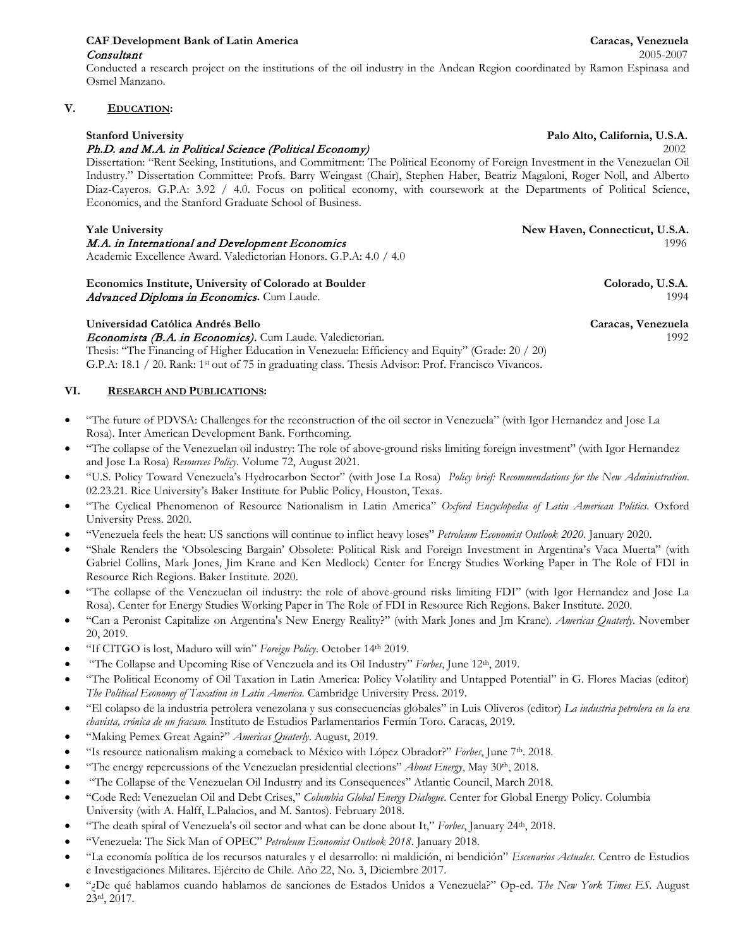# **CAF Development Bank of Latin America Caracas, Venezuela Consultant** 2005-2007

Conducted a research project on the institutions of the oil industry in the Andean Region coordinated by Ramon Espinasa and Osmel Manzano.

# **V. EDUCATION:**

### **Stanford University Palo Alto, California, U.S.A.**

# Ph.D. and M.A. in Political Science (Political Economy)2002

Dissertation: "Rent Seeking, Institutions, and Commitment: The Political Economy of Foreign Investment in the Venezuelan Oil Industry." Dissertation Committee: Profs. Barry Weingast (Chair), Stephen Haber, Beatriz Magaloni, Roger Noll, and Alberto Diaz-Cayeros. G.P.A: 3.92 / 4.0. Focus on political economy, with coursework at the Departments of Political Science, Economics, and the Stanford Graduate School of Business.

# **Yale University New Haven, Connecticut, U.S.A.**

Academic Excellence Award. Valedictorian Honors. G.P.A: 4.0 / 4.0

**Economics Institute, University of Colorado at Boulder Colorado, U.S.A**. Advanced Diploma in Economics. Cum Laude. 1994

# **Universidad Católica Andrés Bello Caracas, Venezuela**

Economista (B.A. in Economics). Cum Laude. Valedictorian. 1992 Thesis: "The Financing of Higher Education in Venezuela: Efficiency and Equity" (Grade: 20 / 20)

G.P.A: 18.1 / 20. Rank: 1<sup>st</sup> out of 75 in graduating class. Thesis Advisor: Prof. Francisco Vivancos.

### **VI. RESEARCH AND PUBLICATIONS:**

- "The future of PDVSA: Challenges for the reconstruction of the oil sector in Venezuela" (with Igor Hernandez and Jose La Rosa). Inter American Development Bank. Forthcoming.
- "The collapse of the Venezuelan oil industry: The role of above-ground risks limiting foreign investment" (with Igor Hernandez and Jose La Rosa) *Resources Policy*. Volume 72, August 2021.
- "U.S. Policy Toward Venezuela's Hydrocarbon Sector" (with Jose La Rosa) *Policy brief: Recommendations for the New Administration*. 02.23.21. Rice University's Baker Institute for Public Policy, Houston, Texas.
- "The Cyclical Phenomenon of Resource Nationalism in Latin America" *Oxford Encyclopedia of Latin American Politics*. Oxford University Press. 2020.
- "Venezuela feels the heat: US sanctions will continue to inflict heavy loses" *Petroleum Economist Outlook 2020*. January 2020.
- "Shale Renders the 'Obsolescing Bargain' Obsolete: Political Risk and Foreign Investment in Argentina's Vaca Muerta" (with Gabriel Collins, Mark Jones, Jim Krane and Ken Medlock) Center for Energy Studies Working Paper in The Role of FDI in Resource Rich Regions. Baker Institute. 2020.
- "The collapse of the Venezuelan oil industry: the role of above-ground risks limiting FDI" (with Igor Hernandez and Jose La Rosa). Center for Energy Studies Working Paper in The Role of FDI in Resource Rich Regions. Baker Institute. 2020.
- "Can a Peronist Capitalize on Argentina's New Energy Reality?" (with Mark Jones and Jm Krane). *Americas Quaterly*. November 20, 2019.
- "If CITGO is lost, Maduro will win" *Foreign Policy*. October 14th 2019.
- "The Collapse and Upcoming Rise of Venezuela and its Oil Industry" *Forbes*, June 12th, 2019.
- "The Political Economy of Oil Taxation in Latin America: Policy Volatility and Untapped Potential" in G. Flores Macias (editor) *The Political Economy of Taxation in Latin America.* Cambridge University Press. 2019.
- "El colapso de la industria petrolera venezolana y sus consecuencias globales" in Luis Oliveros (editor) *La industria petrolera en la era chavista, crónica de un fracaso.* Instituto de Estudios Parlamentarios Fermín Toro. Caracas, 2019.
- "Making Pemex Great Again?" *Americas Quaterly*. August, 2019.
- "Is resource nationalism making a comeback to México with López Obrador?" *Forbes*, June 7th. 2018.
- "The energy repercussions of the Venezuelan presidential elections" *About Energy*, May 30th, 2018.
- "The Collapse of the Venezuelan Oil Industry and its Consequences" Atlantic Council, March 2018.
- "Code Red: Venezuelan Oil and Debt Crises," *Columbia Global Energy Dialogue*. Center for Global Energy Policy. Columbia University (with A. Halff, L.Palacios, and M. Santos). February 2018.
- "The death spiral of Venezuela's oil sector and what can be done about It," *Forbes*, January 24th, 2018.
- "Venezuela: The Sick Man of OPEC" *Petroleum Economist Outlook 2018*. January 2018.
- "La economía política de los recursos naturales y el desarrollo: ni maldición, ni bendición" *Escenarios Actuales*. Centro de Estudios e Investigaciones Militares. Ejército de Chile. Año 22, No. 3, Diciembre 2017.
- "¿De qué hablamos cuando hablamos de sanciones de Estados Unidos a Venezuela?" Op-ed. *The New York Times ES*. August 23rd, 2017.

M.A. in International and Development Economics 1996 1996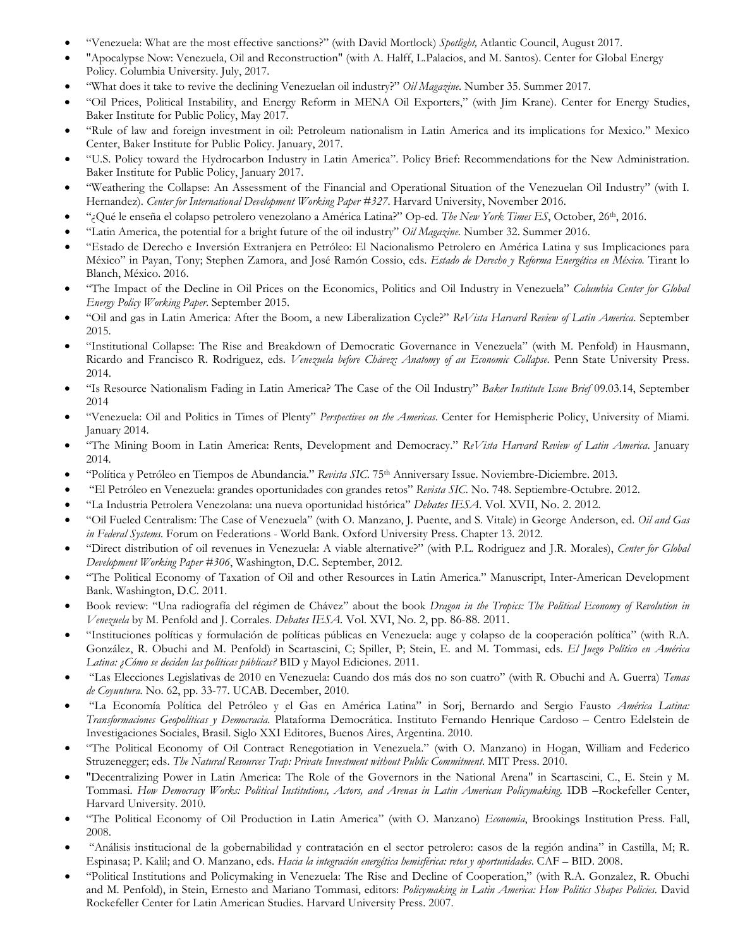- "Venezuela: What are the most effective sanctions?" (with David Mortlock) *Spotlight,* Atlantic Council, August 2017.
- "Apocalypse Now: Venezuela, Oil and Reconstruction" (with A. Halff, L.Palacios, and M. Santos). Center for Global Energy Policy. Columbia University. July, 2017.
- "What does it take to revive the declining Venezuelan oil industry?" *Oil Magazine*. Number 35. Summer 2017.
- "Oil Prices, Political Instability, and Energy Reform in MENA Oil Exporters," (with Jim Krane). Center for Energy Studies, Baker Institute for Public Policy, May 2017.
- "Rule of law and foreign investment in oil: Petroleum nationalism in Latin America and its implications for Mexico." Mexico Center, Baker Institute for Public Policy. January, 2017.
- "U.S. Policy toward the Hydrocarbon Industry in Latin America". Policy Brief: Recommendations for the New Administration. Baker Institute for Public Policy, January 2017.
- "Weathering the Collapse: An Assessment of the Financial and Operational Situation of the Venezuelan Oil Industry" (with I. Hernandez). *Center for International Development Working Paper #327*. Harvard University, November 2016.
- "¿Qué le enseña el colapso petrolero venezolano a América Latina?" Op-ed. *The New York Times ES*, October, 26th, 2016.
- "Latin America, the potential for a bright future of the oil industry" *Oil Magazine*. Number 32. Summer 2016.
- "Estado de Derecho e Inversión Extranjera en Petróleo: El Nacionalismo Petrolero en América Latina y sus Implicaciones para México" in Payan, Tony; Stephen Zamora, and José Ramón Cossio, eds. *Estado de Derecho y Reforma Energética en México.* Tirant lo Blanch, México. 2016.
- "The Impact of the Decline in Oil Prices on the Economics, Politics and Oil Industry in Venezuela" *Columbia Center for Global Energy Policy Working Paper*. September 2015.
- "Oil and gas in Latin America: After the Boom, a new Liberalization Cycle?" *ReVista Harvard Review of Latin America*. September 2015.
- "Institutional Collapse: The Rise and Breakdown of Democratic Governance in Venezuela" (with M. Penfold) in Hausmann, Ricardo and Francisco R. Rodriguez, eds. *Venezuela before Chávez: Anatomy of an Economic Collapse*. Penn State University Press. 2014.
- "Is Resource Nationalism Fading in Latin America? The Case of the Oil Industry" *Baker Institute Issue Brief* 09.03.14, September 2014
- "Venezuela: Oil and Politics in Times of Plenty" *Perspectives on the Americas*. Center for Hemispheric Policy, University of Miami. January 2014.
- "The Mining Boom in Latin America: Rents, Development and Democracy." *ReVista Harvard Review of Latin America*. January 2014.
- "Política y Petróleo en Tiempos de Abundancia." *Revista SIC*. 75th Anniversary Issue. Noviembre-Diciembre. 2013.
- "El Petróleo en Venezuela: grandes oportunidades con grandes retos" *Revista SIC.* No. 748. Septiembre-Octubre. 2012.
- "La Industria Petrolera Venezolana: una nueva oportunidad histórica" *Debates IESA*. Vol. XVII, No. 2. 2012.
- "Oil Fueled Centralism: The Case of Venezuela" (with O. Manzano, J. Puente, and S. Vitale) in George Anderson, ed. *Oil and Gas in Federal Systems.* Forum on Federations - World Bank. Oxford University Press. Chapter 13. 2012.
- "Direct distribution of oil revenues in Venezuela: A viable alternative?" (with P.L. Rodriguez and J.R. Morales), *Center for Global Development Working Paper #306*, Washington, D.C. September, 2012.
- "The Political Economy of Taxation of Oil and other Resources in Latin America." Manuscript, Inter-American Development Bank. Washington, D.C. 2011.
- Book review: "Una radiografía del régimen de Chávez" about the book *Dragon in the Tropics: The Political Economy of Revolution in Venezuela* by M. Penfold and J. Corrales. *Debates IESA.* Vol. XVI, No. 2, pp. 86-88. 2011.
- "Instituciones políticas y formulación de políticas públicas en Venezuela: auge y colapso de la cooperación política" (with R.A. González, R. Obuchi and M. Penfold) in Scartascini, C; Spiller, P; Stein, E. and M. Tommasi, eds. *El Juego Político en América Latina: ¿Cómo se deciden las políticas públicas?* BID y Mayol Ediciones. 2011.
- "Las Elecciones Legislativas de 2010 en Venezuela: Cuando dos más dos no son cuatro" (with R. Obuchi and A. Guerra) *Temas de Coyuntura.* No. 62, pp. 33-77. UCAB. December, 2010.
- "La Economía Política del Petróleo y el Gas en América Latina" in Sorj, Bernardo and Sergio Fausto *América Latina: Transformaciones Geopolíticas y Democracia.* Plataforma Democrática. Instituto Fernando Henrique Cardoso – Centro Edelstein de Investigaciones Sociales, Brasil. Siglo XXI Editores, Buenos Aires, Argentina. 2010.
- "The Political Economy of Oil Contract Renegotiation in Venezuela." (with O. Manzano) in Hogan, William and Federico Struzenegger; eds. *The Natural Resources Trap: Private Investment without Public Commitment*. MIT Press. 2010.
- "Decentralizing Power in Latin America: The Role of the Governors in the National Arena" in Scartascini, C., E. Stein y M. Tommasi. *How Democracy Works: Political Institutions, Actors, and Arenas in Latin American Policymaking.* IDB –Rockefeller Center, Harvard University. 2010.
- "The Political Economy of Oil Production in Latin America" (with O. Manzano) *Economia*, Brookings Institution Press. Fall, 2008.
- "Análisis institucional de la gobernabilidad y contratación en el sector petrolero: casos de la región andina" in Castilla, M; R. Espinasa; P. Kalil; and O. Manzano, eds. *Hacia la integración energética hemisférica: retos y oportunidades*. CAF – BID. 2008.
- "Political Institutions and Policymaking in Venezuela: The Rise and Decline of Cooperation," (with R.A. Gonzalez, R. Obuchi and M. Penfold), in Stein, Ernesto and Mariano Tommasi, editors: *Policymaking in Latin America: How Politics Shapes Policies.* David Rockefeller Center for Latin American Studies. Harvard University Press. 2007.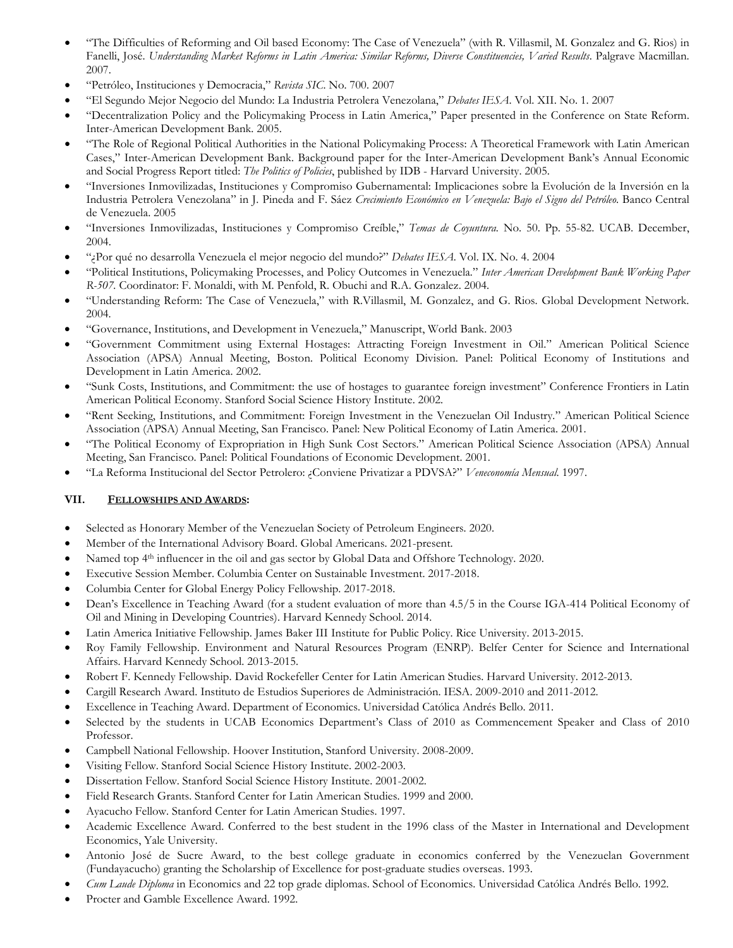- "The Difficulties of Reforming and Oil based Economy: The Case of Venezuela" (with R. Villasmil, M. Gonzalez and G. Rios) in Fanelli, José. *Understanding Market Reforms in Latin America: Similar Reforms, Diverse Constituencies, Varied Results*. Palgrave Macmillan. 2007.
- "Petróleo, Instituciones y Democracia," *Revista SIC*. No. 700. 2007
- "El Segundo Mejor Negocio del Mundo: La Industria Petrolera Venezolana," *Debates IESA*. Vol. XII. No. 1. 2007
- "Decentralization Policy and the Policymaking Process in Latin America," Paper presented in the Conference on State Reform. Inter-American Development Bank. 2005.
- "The Role of Regional Political Authorities in the National Policymaking Process: A Theoretical Framework with Latin American Cases," Inter-American Development Bank. Background paper for the Inter-American Development Bank's Annual Economic and Social Progress Report titled: *The Politics of Policies*, published by IDB - Harvard University. 2005.
- "Inversiones Inmovilizadas, Instituciones y Compromiso Gubernamental: Implicaciones sobre la Evolución de la Inversión en la Industria Petrolera Venezolana" in J. Pineda and F. Sáez *Crecimiento Económico en Venezuela: Bajo el Signo del Petróleo*. Banco Central de Venezuela. 2005
- "Inversiones Inmovilizadas, Instituciones y Compromiso Creíble," *Temas de Coyuntura.* No. 50. Pp. 55-82. UCAB. December, 2004.
- "¿Por qué no desarrolla Venezuela el mejor negocio del mundo?" *Debates IESA.* Vol. IX. No. 4. 2004
- "Political Institutions, Policymaking Processes, and Policy Outcomes in Venezuela*.*" *Inter American Development Bank Working Paper R-507.* Coordinator: F. Monaldi, with M. Penfold, R. Obuchi and R.A. Gonzalez. 2004.
- "Understanding Reform: The Case of Venezuela," with R.Villasmil, M. Gonzalez, and G. Rios. Global Development Network. 2004.
- "Governance, Institutions, and Development in Venezuela," Manuscript, World Bank. 2003
- "Government Commitment using External Hostages: Attracting Foreign Investment in Oil." American Political Science Association (APSA) Annual Meeting, Boston. Political Economy Division. Panel: Political Economy of Institutions and Development in Latin America. 2002.
- "Sunk Costs, Institutions, and Commitment: the use of hostages to guarantee foreign investment" Conference Frontiers in Latin American Political Economy. Stanford Social Science History Institute. 2002.
- "Rent Seeking, Institutions, and Commitment: Foreign Investment in the Venezuelan Oil Industry*.*" American Political Science Association (APSA) Annual Meeting, San Francisco. Panel: New Political Economy of Latin America. 2001.
- "The Political Economy of Expropriation in High Sunk Cost Sectors." American Political Science Association (APSA) Annual Meeting, San Francisco. Panel: Political Foundations of Economic Development. 2001.
- "La Reforma Institucional del Sector Petrolero: ¿Conviene Privatizar a PDVSA?" *Veneconomía Mensual*. 1997.

### **VII. FELLOWSHIPS AND AWARDS:**

- Selected as Honorary Member of the Venezuelan Society of Petroleum Engineers. 2020.
- Member of the International Advisory Board. Global Americans. 2021-present.
- Named top 4<sup>th</sup> influencer in the oil and gas sector by Global Data and Offshore Technology. 2020.
- Executive Session Member. Columbia Center on Sustainable Investment. 2017-2018.
- Columbia Center for Global Energy Policy Fellowship. 2017-2018.
- Dean's Excellence in Teaching Award (for a student evaluation of more than 4.5/5 in the Course IGA-414 Political Economy of Oil and Mining in Developing Countries). Harvard Kennedy School. 2014.
- Latin America Initiative Fellowship. James Baker III Institute for Public Policy. Rice University. 2013-2015.
- Roy Family Fellowship. Environment and Natural Resources Program (ENRP). Belfer Center for Science and International Affairs. Harvard Kennedy School. 2013-2015.
- Robert F. Kennedy Fellowship. David Rockefeller Center for Latin American Studies. Harvard University. 2012-2013.
- Cargill Research Award. Instituto de Estudios Superiores de Administración. IESA. 2009-2010 and 2011-2012.
- Excellence in Teaching Award. Department of Economics. Universidad Católica Andrés Bello. 2011.
- Selected by the students in UCAB Economics Department's Class of 2010 as Commencement Speaker and Class of 2010 Professor.
- Campbell National Fellowship. Hoover Institution, Stanford University. 2008-2009.
- Visiting Fellow. Stanford Social Science History Institute. 2002-2003.
- Dissertation Fellow. Stanford Social Science History Institute. 2001-2002.
- Field Research Grants. Stanford Center for Latin American Studies. 1999 and 2000.
- Ayacucho Fellow. Stanford Center for Latin American Studies. 1997.
- Academic Excellence Award. Conferred to the best student in the 1996 class of the Master in International and Development Economics, Yale University.
- Antonio José de Sucre Award, to the best college graduate in economics conferred by the Venezuelan Government (Fundayacucho) granting the Scholarship of Excellence for post-graduate studies overseas. 1993.
- *Cum Laude Diploma* in Economics and 22 top grade diplomas. School of Economics. Universidad Católica Andrés Bello. 1992.
- Procter and Gamble Excellence Award. 1992.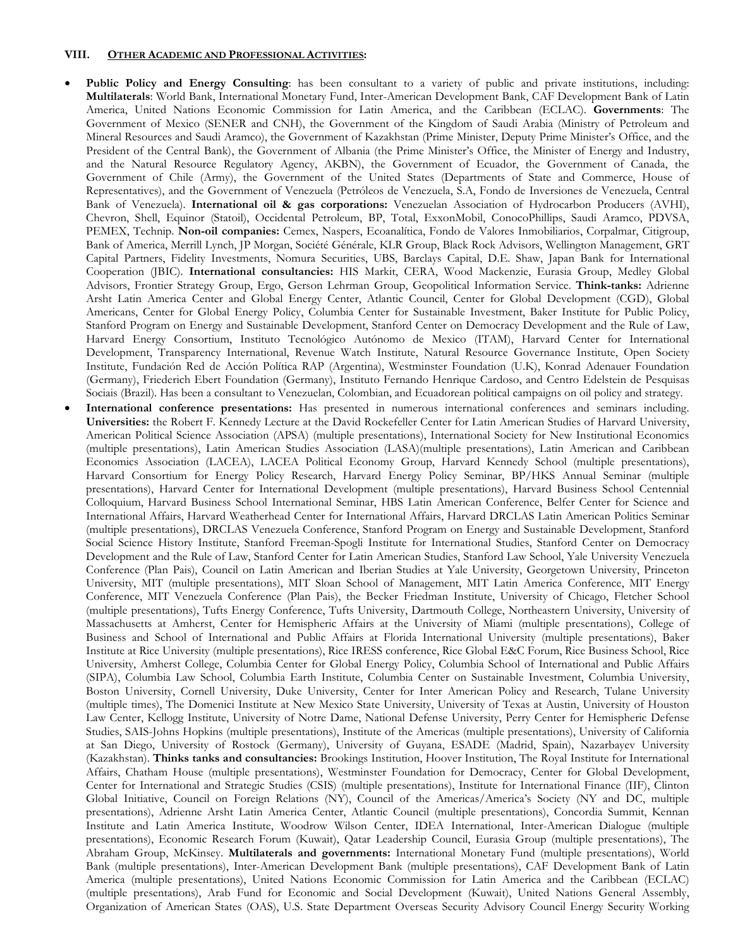### **VIII. OTHER ACADEMIC AND PROFESSIONAL ACTIVITIES:**

- Public Policy and Energy Consulting: has been consultant to a variety of public and private institutions, including: **Multilaterals**: World Bank, International Monetary Fund, Inter-American Development Bank, CAF Development Bank of Latin America, United Nations Economic Commission for Latin America, and the Caribbean (ECLAC). **Governments**: The Government of Mexico (SENER and CNH), the Government of the Kingdom of Saudi Arabia (Ministry of Petroleum and Mineral Resources and Saudi Aramco), the Government of Kazakhstan (Prime Minister, Deputy Prime Minister's Office, and the President of the Central Bank), the Government of Albania (the Prime Minister's Office, the Minister of Energy and Industry, and the Natural Resource Regulatory Agency, AKBN), the Government of Ecuador, the Government of Canada, the Government of Chile (Army), the Government of the United States (Departments of State and Commerce, House of Representatives), and the Government of Venezuela (Petróleos de Venezuela, S.A, Fondo de Inversiones de Venezuela, Central Bank of Venezuela). **International oil & gas corporations:** Venezuelan Association of Hydrocarbon Producers (AVHI), Chevron, Shell, Equinor (Statoil), Occidental Petroleum, BP, Total, ExxonMobil, ConocoPhillips, Saudi Aramco, PDVSA, PEMEX, Technip. **Non-oil companies:** Cemex, Naspers, Ecoanalítica, Fondo de Valores Inmobiliarios, Corpalmar, Citigroup, Bank of America, Merrill Lynch, JP Morgan, Société Générale, KLR Group, Black Rock Advisors, Wellington Management, GRT Capital Partners, Fidelity Investments, Nomura Securities, UBS, Barclays Capital, D.E. Shaw, Japan Bank for International Cooperation (JBIC). **International consultancies:** HIS Markit, CERA, Wood Mackenzie, Eurasia Group, Medley Global Advisors, Frontier Strategy Group, Ergo, Gerson Lehrman Group, Geopolitical Information Service. **Think-tanks:** Adrienne Arsht Latin America Center and Global Energy Center, Atlantic Council, Center for Global Development (CGD), Global Americans, Center for Global Energy Policy, Columbia Center for Sustainable Investment, Baker Institute for Public Policy, Stanford Program on Energy and Sustainable Development, Stanford Center on Democracy Development and the Rule of Law, Harvard Energy Consortium, Instituto Tecnológico Autónomo de Mexico (ITAM), Harvard Center for International Development, Transparency International, Revenue Watch Institute, Natural Resource Governance Institute, Open Society Institute, Fundación Red de Acción Política RAP (Argentina), Westminster Foundation (U.K), Konrad Adenauer Foundation (Germany), Friederich Ebert Foundation (Germany), Instituto Fernando Henrique Cardoso, and Centro Edelstein de Pesquisas Sociais (Brazil). Has been a consultant to Venezuelan, Colombian, and Ecuadorean political campaigns on oil policy and strategy.
- **International conference presentations:** Has presented in numerous international conferences and seminars including. **Universities:** the Robert F. Kennedy Lecture at the David Rockefeller Center for Latin American Studies of Harvard University, American Political Science Association (APSA) (multiple presentations), International Society for New Institutional Economics (multiple presentations), Latin American Studies Association (LASA)(multiple presentations), Latin American and Caribbean Economics Association (LACEA), LACEA Political Economy Group, Harvard Kennedy School (multiple presentations), Harvard Consortium for Energy Policy Research, Harvard Energy Policy Seminar, BP/HKS Annual Seminar (multiple presentations), Harvard Center for International Development (multiple presentations), Harvard Business School Centennial Colloquium, Harvard Business School International Seminar, HBS Latin American Conference, Belfer Center for Science and International Affairs, Harvard Weatherhead Center for International Affairs, Harvard DRCLAS Latin American Politics Seminar (multiple presentations), DRCLAS Venezuela Conference, Stanford Program on Energy and Sustainable Development, Stanford Social Science History Institute, Stanford Freeman-Spogli Institute for International Studies, Stanford Center on Democracy Development and the Rule of Law, Stanford Center for Latin American Studies, Stanford Law School, Yale University Venezuela Conference (Plan Pais), Council on Latin American and Iberian Studies at Yale University, Georgetown University, Princeton University, MIT (multiple presentations), MIT Sloan School of Management, MIT Latin America Conference, MIT Energy Conference, MIT Venezuela Conference (Plan Pais), the Becker Friedman Institute, University of Chicago, Fletcher School (multiple presentations), Tufts Energy Conference, Tufts University, Dartmouth College, Northeastern University, University of Massachusetts at Amherst, Center for Hemispheric Affairs at the University of Miami (multiple presentations), College of Business and School of International and Public Affairs at Florida International University (multiple presentations), Baker Institute at Rice University (multiple presentations), Rice IRESS conference, Rice Global E&C Forum, Rice Business School, Rice University, Amherst College, Columbia Center for Global Energy Policy, Columbia School of International and Public Affairs (SIPA), Columbia Law School, Columbia Earth Institute, Columbia Center on Sustainable Investment, Columbia University, Boston University, Cornell University, Duke University, Center for Inter American Policy and Research, Tulane University (multiple times), The Domenici Institute at New Mexico State University, University of Texas at Austin, University of Houston Law Center, Kellogg Institute, University of Notre Dame, National Defense University, Perry Center for Hemispheric Defense Studies, SAIS-Johns Hopkins (multiple presentations), Institute of the Americas (multiple presentations), University of California at San Diego, University of Rostock (Germany), University of Guyana, ESADE (Madrid, Spain), Nazarbayev University (Kazakhstan). **Thinks tanks and consultancies:** Brookings Institution, Hoover Institution, The Royal Institute for International Affairs, Chatham House (multiple presentations), Westminster Foundation for Democracy, Center for Global Development, Center for International and Strategic Studies (CSIS) (multiple presentations), Institute for International Finance (IIF), Clinton Global Initiative, Council on Foreign Relations (NY), Council of the Americas/America's Society (NY and DC, multiple presentations), Adrienne Arsht Latin America Center, Atlantic Council (multiple presentations), Concordia Summit, Kennan Institute and Latin America Institute, Woodrow Wilson Center, IDEA International, Inter-American Dialogue (multiple presentations), Economic Research Forum (Kuwait), Qatar Leadership Council, Eurasia Group (multiple presentations), The Abraham Group, McKinsey. **Multilaterals and governments:** International Monetary Fund (multiple presentations), World Bank (multiple presentations), Inter-American Development Bank (multiple presentations), CAF Development Bank of Latin America (multiple presentations), United Nations Economic Commission for Latin America and the Caribbean (ECLAC) (multiple presentations), Arab Fund for Economic and Social Development (Kuwait), United Nations General Assembly, Organization of American States (OAS), U.S. State Department Overseas Security Advisory Council Energy Security Working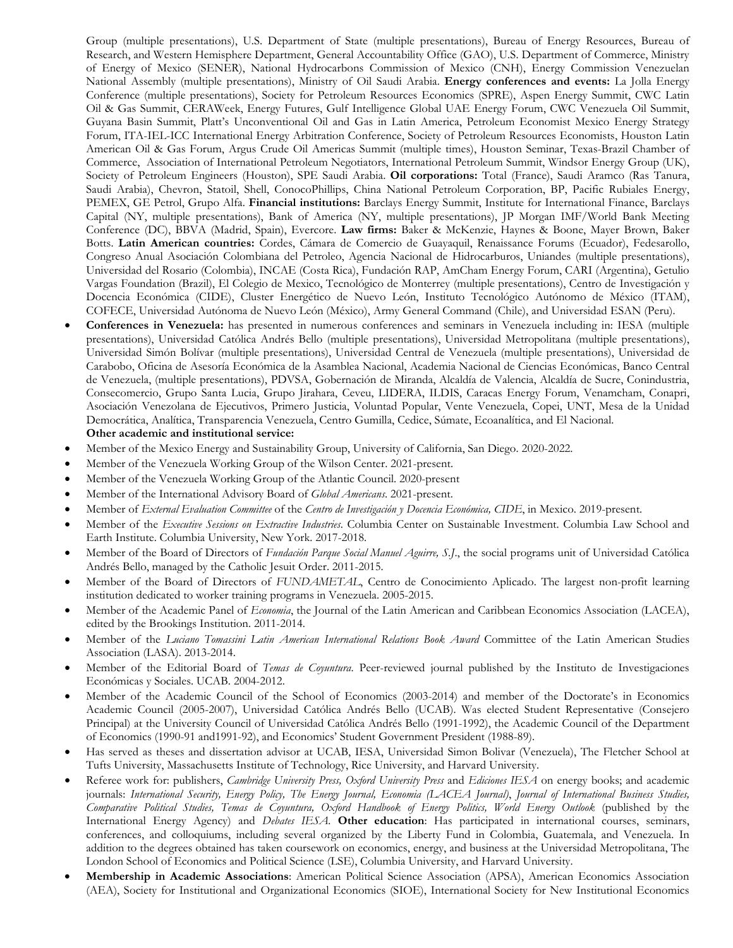Group (multiple presentations), U.S. Department of State (multiple presentations), Bureau of Energy Resources, Bureau of Research, and Western Hemisphere Department, General Accountability Office (GAO), U.S. Department of Commerce, Ministry of Energy of Mexico (SENER), National Hydrocarbons Commission of Mexico (CNH), Energy Commission Venezuelan National Assembly (multiple presentations), Ministry of Oil Saudi Arabia. **Energy conferences and events:** La Jolla Energy Conference (multiple presentations), Society for Petroleum Resources Economics (SPRE), Aspen Energy Summit, CWC Latin Oil & Gas Summit, CERAWeek, Energy Futures, Gulf Intelligence Global UAE Energy Forum, CWC Venezuela Oil Summit, Guyana Basin Summit, Platt's Unconventional Oil and Gas in Latin America, Petroleum Economist Mexico Energy Strategy Forum, ITA-IEL-ICC International Energy Arbitration Conference, Society of Petroleum Resources Economists, Houston Latin American Oil & Gas Forum, Argus Crude Oil Americas Summit (multiple times), Houston Seminar, Texas-Brazil Chamber of Commerce, Association of International Petroleum Negotiators, International Petroleum Summit, Windsor Energy Group (UK), Society of Petroleum Engineers (Houston), SPE Saudi Arabia. **Oil corporations:** Total (France), Saudi Aramco (Ras Tanura, Saudi Arabia), Chevron, Statoil, Shell, ConocoPhillips, China National Petroleum Corporation, BP, Pacific Rubiales Energy, PEMEX, GE Petrol, Grupo Alfa. **Financial institutions:** Barclays Energy Summit, Institute for International Finance, Barclays Capital (NY, multiple presentations), Bank of America (NY, multiple presentations), JP Morgan IMF/World Bank Meeting Conference (DC), BBVA (Madrid, Spain), Evercore. **Law firms:** Baker & McKenzie, Haynes & Boone, Mayer Brown, Baker Botts. **Latin American countries:** Cordes, Cámara de Comercio de Guayaquil, Renaissance Forums (Ecuador), Fedesarollo, Congreso Anual Asociación Colombiana del Petroleo, Agencia Nacional de Hidrocarburos, Uniandes (multiple presentations), Universidad del Rosario (Colombia), INCAE (Costa Rica), Fundación RAP, AmCham Energy Forum, CARI (Argentina), Getulio Vargas Foundation (Brazil), El Colegio de Mexico, Tecnológico de Monterrey (multiple presentations), Centro de Investigación y Docencia Económica (CIDE), Cluster Energético de Nuevo León, Instituto Tecnológico Autónomo de México (ITAM), COFECE, Universidad Autónoma de Nuevo León (México), Army General Command (Chile), and Universidad ESAN (Peru).

- **Conferences in Venezuela:** has presented in numerous conferences and seminars in Venezuela including in: IESA (multiple presentations), Universidad Católica Andrés Bello (multiple presentations), Universidad Metropolitana (multiple presentations), Universidad Simón Bolívar (multiple presentations), Universidad Central de Venezuela (multiple presentations), Universidad de Carabobo, Oficina de Asesoría Económica de la Asamblea Nacional, Academia Nacional de Ciencias Económicas, Banco Central de Venezuela, (multiple presentations), PDVSA, Gobernación de Miranda, Alcaldía de Valencia, Alcaldía de Sucre, Conindustria, Consecomercio, Grupo Santa Lucia, Grupo Jirahara, Ceveu, LIDERA, ILDIS, Caracas Energy Forum, Venamcham, Conapri, Asociación Venezolana de Ejecutivos, Primero Justicia, Voluntad Popular, Vente Venezuela, Copei, UNT, Mesa de la Unidad Democrática, Analítica, Transparencia Venezuela, Centro Gumilla, Cedice, Súmate, Ecoanalítica, and El Nacional. **Other academic and institutional service:**
- Member of the Mexico Energy and Sustainability Group, University of California, San Diego. 2020-2022.
- Member of the Venezuela Working Group of the Wilson Center. 2021-present.
- Member of the Venezuela Working Group of the Atlantic Council. 2020-present
- Member of the International Advisory Board of *Global Americans*. 2021-present.
- Member of *External Evaluation Committee* of the *Centro de Investigación y Docencia Económica, CIDE*, in Mexico. 2019-present.
- Member of the *Executive Sessions on Extractive Industries*. Columbia Center on Sustainable Investment. Columbia Law School and Earth Institute. Columbia University, New York. 2017-2018.
- Member of the Board of Directors of *Fundación Parque Social Manuel Aguirre, S.J*., the social programs unit of Universidad Católica Andrés Bello, managed by the Catholic Jesuit Order. 2011-2015.
- Member of the Board of Directors of *FUNDAMETAL*, Centro de Conocimiento Aplicado. The largest non-profit learning institution dedicated to worker training programs in Venezuela. 2005-2015.
- Member of the Academic Panel of *Economia*, the Journal of the Latin American and Caribbean Economics Association (LACEA), edited by the Brookings Institution. 2011-2014.
- Member of the *Luciano Tomassini Latin American International Relations Book Award* Committee of the Latin American Studies Association (LASA). 2013-2014.
- Member of the Editorial Board of *Temas de Coyuntura*. Peer-reviewed journal published by the Instituto de Investigaciones Económicas y Sociales. UCAB. 2004-2012.
- Member of the Academic Council of the School of Economics (2003-2014) and member of the Doctorate's in Economics Academic Council (2005-2007), Universidad Católica Andrés Bello (UCAB). Was elected Student Representative (Consejero Principal) at the University Council of Universidad Católica Andrés Bello (1991-1992), the Academic Council of the Department of Economics (1990-91 and1991-92), and Economics' Student Government President (1988-89).
- Has served as theses and dissertation advisor at UCAB, IESA, Universidad Simon Bolivar (Venezuela), The Fletcher School at Tufts University, Massachusetts Institute of Technology, Rice University, and Harvard University.
- Referee work for: publishers, *Cambridge University Press, Oxford University Press* and *Ediciones IESA* on energy books; and academic journals: *International Security, Energy Policy, The Energy Journal, Economia (LACEA Journal)*, *Journal of International Business Studies, Comparative Political Studies, Temas de Coyuntura, Oxford Handbook of Energy Politics, World Energy Outlook* (published by the International Energy Agency) and *Debates IESA.* **Other education**: Has participated in international courses, seminars, conferences, and colloquiums, including several organized by the Liberty Fund in Colombia, Guatemala, and Venezuela. In addition to the degrees obtained has taken coursework on economics, energy, and business at the Universidad Metropolitana, The London School of Economics and Political Science (LSE), Columbia University, and Harvard University.
- **Membership in Academic Associations**: American Political Science Association (APSA), American Economics Association (AEA), Society for Institutional and Organizational Economics (SIOE), International Society for New Institutional Economics